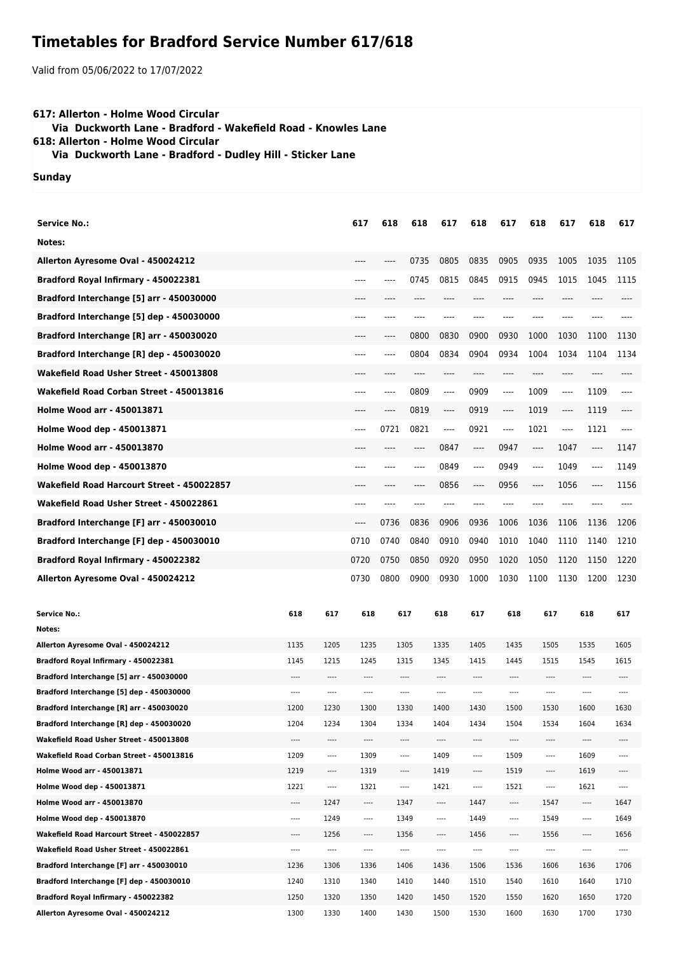## **Timetables for Bradford Service Number 617/618**

Valid from 05/06/2022 to 17/07/2022

## **617: Allerton - Holme Wood Circular Via Duckworth Lane - Bradford - Wakefield Road - Knowles Lane 618: Allerton - Holme Wood Circular**

 **Via Duckworth Lane - Bradford - Dudley Hill - Sticker Lane**

**Sunday**

| <b>Service No.:</b>                                                        |                         |              | 617          | 618  | 618          | 617          | 618          | 617          | 618          | 617  | 618          | 617          |
|----------------------------------------------------------------------------|-------------------------|--------------|--------------|------|--------------|--------------|--------------|--------------|--------------|------|--------------|--------------|
| Notes:                                                                     |                         |              |              |      |              |              |              |              |              |      |              |              |
| Allerton Ayresome Oval - 450024212                                         |                         |              | ----         | ---- | 0735         | 0805         | 0835         | 0905         | 0935         | 1005 | 1035         | 1105         |
| Bradford Royal Infirmary - 450022381                                       |                         |              | ----         |      | 0745         | 0815         | 0845         | 0915         | 0945         | 1015 | 1045         | 1115         |
| Bradford Interchange [5] arr - 450030000                                   |                         |              |              |      |              |              |              |              |              |      |              |              |
| Bradford Interchange [5] dep - 450030000                                   |                         |              | ----         |      |              |              |              |              |              |      |              |              |
| Bradford Interchange [R] arr - 450030020                                   |                         |              | ----         | ---- | 0800         | 0830         | 0900         | 0930         | 1000         | 1030 | 1100         | 1130         |
| Bradford Interchange [R] dep - 450030020                                   |                         |              | ----         | ---- | 0804         | 0834         | 0904         | 0934         | 1004         | 1034 | 1104         | 1134         |
| Wakefield Road Usher Street - 450013808                                    |                         |              |              |      |              |              |              |              | ----         |      |              |              |
| Wakefield Road Corban Street - 450013816                                   |                         |              | ----         | ---- | 0809         | ----         | 0909         | ----         | 1009         | ---- | 1109         | $---$        |
| <b>Holme Wood arr - 450013871</b>                                          |                         |              |              | ---- | 0819         | ----         | 0919         | $-----$      | 1019         | ---- | 1119         |              |
| Holme Wood dep - 450013871                                                 |                         |              | ----         | 0721 | 0821         | ----         | 0921         | $-----$      | 1021         | ---- | 1121         | ----         |
| <b>Holme Wood arr - 450013870</b>                                          |                         |              |              |      | ----         | 0847         | ----         | 0947         | ----         | 1047 | ----         | 1147         |
| Holme Wood dep - 450013870                                                 |                         |              | ----         |      | ----         | 0849         | ----         | 0949         | $---$        | 1049 | ----         | 1149         |
| Wakefield Road Harcourt Street - 450022857                                 |                         |              | ----         | ---- | ----         | 0856         | ----         | 0956         | $-----$      | 1056 | ----         | 1156         |
| Wakefield Road Usher Street - 450022861                                    |                         |              | ----         | ---- |              | ----         |              |              | ----         |      |              |              |
|                                                                            |                         |              |              | 0736 | 0836         | 0906         |              | 1006         | 1036         |      | 1136         |              |
| Bradford Interchange [F] arr - 450030010                                   |                         |              | ----         |      |              |              | 0936         |              |              | 1106 |              | 1206         |
| Bradford Interchange [F] dep - 450030010                                   |                         |              | 0710         | 0740 | 0840         | 0910         | 0940         | 1010         | 1040         | 1110 | 1140         | 1210         |
| Bradford Royal Infirmary - 450022382                                       |                         |              | 0720         | 0750 | 0850         | 0920         | 0950         | 1020         | 1050         | 1120 | 1150         | 1220         |
| Allerton Ayresome Oval - 450024212                                         |                         |              | 0730         | 0800 | 0900         | 0930         | 1000         | 1030         | 1100         | 1130 | 1200         | 1230         |
| <b>Service No.:</b>                                                        | 618                     | 617          | 618          |      | 617          | 618          | 617          | 618          | 617          |      | 618          | 617          |
|                                                                            |                         |              |              |      |              |              |              |              |              |      |              |              |
|                                                                            |                         |              |              |      |              |              |              |              |              |      |              |              |
| Notes:<br>Allerton Ayresome Oval - 450024212                               | 1135                    | 1205         | 1235         |      | 1305         | 1335         | 1405         | 1435         | 1505         |      | 1535         | 1605         |
| Bradford Royal Infirmary - 450022381                                       | 1145                    | 1215         | 1245         |      | 1315         | 1345         | 1415         | 1445         | 1515         |      | 1545         | 1615         |
| Bradford Interchange [5] arr - 450030000                                   | ----                    | ----         | ----         |      | ----         | ----         | ----         | ----         | ----         |      | ----         | ----         |
| Bradford Interchange [5] dep - 450030000                                   | ----                    | ----         | ----         |      | ----         | ----         | ----         | ----         | ----         |      | ----         | ----         |
| Bradford Interchange [R] arr - 450030020                                   | 1200                    | 1230         | 1300         |      | 1330         | 1400         | 1430         | 1500         | 1530         |      | 1600         | 1630         |
| Bradford Interchange [R] dep - 450030020                                   | 1204                    | 1234         | 1304         |      | 1334         | 1404         | 1434         | 1504         | 1534         |      | 1604         | 1634         |
| Wakefield Road Usher Street - 450013808                                    | ----                    | ----         | ----         |      | ----         | ----         | ----         | ----         | ----         |      | ----         |              |
| Wakefield Road Corban Street - 450013816                                   | 1209                    | ----         | 1309         |      | $\cdots$     | 1409         | $\cdots$     | 1509         | ----         |      | 1609         | ----         |
| Holme Wood arr - 450013871                                                 | 1219                    | ----         | 1319         |      | ----         | 1419         | ----         | 1519         | ----         |      | 1619         | ----         |
| Holme Wood dep - 450013871                                                 | 1221                    | ----         | 1321         |      | $\cdots$     | 1421         | ----         | 1521         | ----         |      | 1621         | ----         |
| Holme Wood arr - 450013870                                                 | ----                    | 1247         | ----         |      | 1347         | ----         | 1447         | ----         | 1547         |      | ----         | 1647         |
| Holme Wood dep - 450013870                                                 | $\hspace{0.05cm}\ldots$ | 1249         | ----         |      | 1349         | $\cdots$     | 1449         | $\cdots$     | 1549         |      | $\cdots$     | 1649         |
| Wakefield Road Harcourt Street - 450022857                                 | ----                    | 1256         | ----         |      | 1356         | ----         | 1456         | ----         | 1556         |      | ----         | 1656         |
| Wakefield Road Usher Street - 450022861                                    | ----                    | $\cdots$     | $\cdots$     |      | $\cdots$     | ----         | $\cdots$     | ----         | $\cdots$     |      | ----         | $\cdots$     |
| Bradford Interchange [F] arr - 450030010                                   | 1236                    | 1306         | 1336         |      | 1406         | 1436         | 1506         | 1536         | 1606         |      | 1636         | 1706         |
| Bradford Interchange [F] dep - 450030010                                   | 1240                    | 1310         | 1340         |      | 1410         | 1440         | 1510         | 1540         | 1610         |      | 1640         | 1710         |
| Bradford Royal Infirmary - 450022382<br>Allerton Ayresome Oval - 450024212 | 1250<br>1300            | 1320<br>1330 | 1350<br>1400 |      | 1420<br>1430 | 1450<br>1500 | 1520<br>1530 | 1550<br>1600 | 1620<br>1630 |      | 1650<br>1700 | 1720<br>1730 |